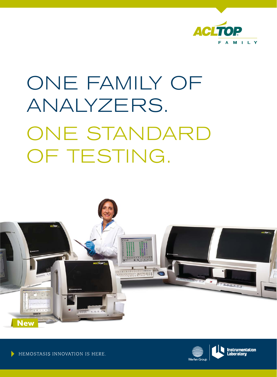

# ONE FAMILY OF analyzers. ONE STANDARD OF TESTING.





HEMOSTASIS INNOVATION IS HERE.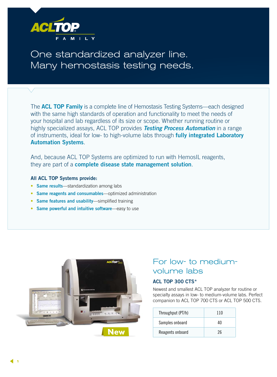

One standardized analyzer line. Many hemostasis testing needs.

The **ACL TOP Family** is a complete line of Hemostasis Testing Systems—each designed with the same high standards of operation and functionality to meet the needs of your hospital and lab regardless of its size or scope. Whether running routine or highly specialized assays, ACL TOP provides *Testing Process Automation* in a range of instruments, ideal for low- to high-volume labs through **fully integrated Laboratory Automation Systems**.

And, because ACL TOP Systems are optimized to run with HemosIL reagents, they are part of a **complete disease state management solution**.

## **All ACL TOP Systems provide:**

- **Same results**—standardization among labs
- **Same reagents and consumables**—optimized administration
- **Same features and usability**—simplified training
- **Same powerful and intuitive software**—easy to use



# For low- to mediumvolume labs

# **ACL TOP 300 CTS\***

Newest and smallest ACL TOP analyzer for routine or specialty assays in low- to medium-volume labs. Perfect companion to ACL TOP 700 CTS or ACL TOP 500 CTS.

| Throughput (PT/h) | 110 |
|-------------------|-----|
| Samples onboard   | 40  |
| Reagents onboard  | 26  |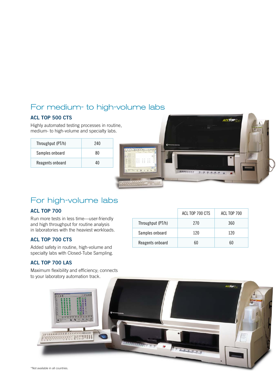# For medium- to high-volume labs

# **ACL TOP 500 CTS**

Highly automated testing processes in routine, medium- to high-volume and specialty labs.

| Throughput (PT/h) | 240 |
|-------------------|-----|
| Samples onboard   | ጸበ  |
| Reagents onboard  | 40  |



# For high-volume labs

# **ACL TOP 700**

Run more tests in less time—user-friendly and high throughput for routine analysis in laboratories with the heaviest workloads.

# **ACL TOP 700 CTS**

Added safety in routine, high-volume and specialty labs with Closed-Tube Sampling.

# **ACL TOP 700 LAS**

Maximum flexibility and efficiency; connects to your laboratory automation track.

|                   | ACL TOP 700 CTS | ACL TOP 700 |
|-------------------|-----------------|-------------|
| Throughput (PT/h) | 270             | 360         |
| Samples onboard   | 120             | 120         |
| Reagents onboard  | 60              | 60          |

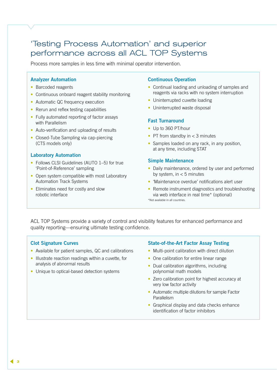# 'Testing Process Automation' and superior performance across all ACL TOP Systems

Process more samples in less time with minimal operator intervention.

## **Analyzer Automation**

- Barcoded reagents
- Continuous onboard reagent stability monitoring
- Automatic QC frequency execution
- Rerun and reflex testing capabilities
- Fully automated reporting of factor assays with Parallelism
- Auto-verification and uploading of results
- Closed-Tube Sampling via cap-piercing (CTS models only)

## **Laboratory Automation**

- Follows CLSI Guidelines (AUTO 1-5) for true 'Point-of-Reference' sampling
- Open system compatible with most Laboratory Automation Track Systems
- Eliminates need for costly and slow robotic interface

## **Continuous Operation**

- Continual loading and unloading of samples and reagents via racks with no system interruption
- Uninterrupted cuvette loading
- Uninterrupted waste disposal

## **Fast Turnaround**

- Up to 360 PT/hour
- PT from standby in  $<$  3 minutes
- Samples loaded on any rack, in any position, at any time, including STAT

#### **Simple Maintenance**

- Daily maintenance, ordered by user and performed by system, in  $<$  5 minutes
- 'Maintenance overdue' notifications alert user
- Remote instrument diagnostics and troubleshooting via web interface in real time\* (optional) \*Not available in all countries.

ACL TOP Systems provide a variety of control and visibility features for enhanced performance and quality reporting—ensuring ultimate testing confidence.

## **Clot Signature Curves**

- Available for patient samples, QC and calibrations
- Illustrate reaction readings within a cuvette, for analysis of abnormal results
- Unique to optical-based detection systems

## **State-of-the-Art Factor Assay Testing**

- Multi-point calibration with direct dilution
- One calibration for entire linear range
- Dual calibration algorithms, including polynomial math models
- Zero calibration point for highest accuracy at very low factor activity
- Automatic multiple dilutions for sample Factor Parallelism
- Graphical display and data checks enhance identification of factor inhibitors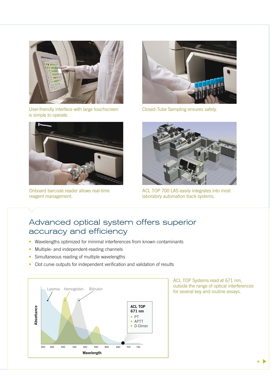

User-friendly interface with large touchscreen is simple to operate.



Onboard barcode reader allows real-time reagent management.



Closed-Tube Sampling ensures safety.



ACL TOP 700 LAS easily integrates into most laboratory automation track systems.

# Advanced optical system offers superior accuracy and efficiency

- Wavelengths optimized for minimal interferences from known contaminants
- Multiple- and independent-reading channels
- Simultaneous reading of multiple wavelengths
- Clot curve outputs for independent verification and validation of results



ACL TOP Systems read at 671 nm, outside the range of optical interferences for several key and routine assays.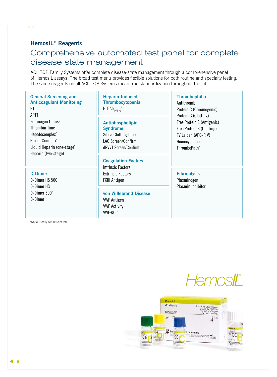# **HemosIL® Reagents**

# Comprehensive automated test panel for complete disease state management

ACL TOP Family Systems offer complete disease-state management through a comprehensive panel of HemosIL assays. The broad test menu provides flexible solutions for both routine and specialty testing. The same reagents on all ACL TOP Systems mean true standardization throughout the lab.

## **General Screening and Anticoagulant Monitoring** PT

# APTT

Fibrinogen Clauss Thrombin Time Hepatocomplex\* Pro-IL-Complex\* Liquid Heparin (one-stage) Heparin (two-stage)

#### **D-Dimer**

D-Dimer HS 500 D-Dimer HS D-Dimer 500\* D-Dimer

# **Heparin-Induced Thrombocytopenia** HIT-Ab<sub>(PF4-H)</sub>\*

**Antiphospholipid Syndrome** Silica Clotting Time LAC Screen/Confirm dRVVT Screen/Confirm

## **Coagulation Factors**

Intrinsic Factors Extrinsic Factors FXIII Antigen

**von Willebrand Disease** VWF Antigen VWF Activity VWF:RCo\*

## **Thrombophilia**

Antithrombin Protein C (Chromogenic) Protein C (Clotting) Free Protein S (Antigenic) Free Protein S (Clotting) FV Leiden (APC-R V) Homocysteine ThromboPath\*

## **Fibrinolysis** Plasminogen

Plasmin Inhibitor

\*Not currently 510(k) cleared.

HemosIL

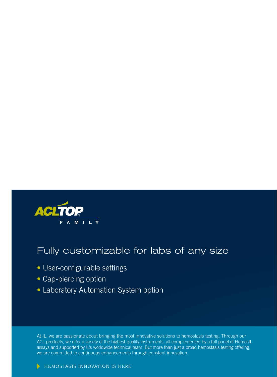

# Fully customizable for labs of any size

- User-configurable settings
- Cap-piercing option
- Laboratory Automation System option

At IL, we are passionate about bringing the most innovative solutions to hemostasis testing. Through our ACL products, we offer a variety of the highest-quality instruments, all complemented by a full panel of HemosIL assays and supported by IL's worldwide technical team. But more than just a broad hemostasis testing offering, we are committed to continuous enhancements through constant innovation.